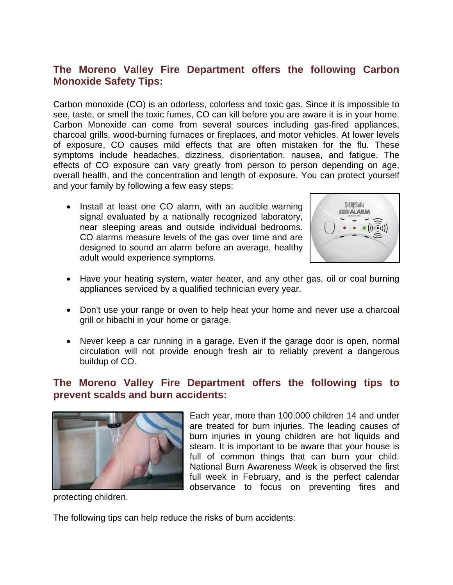# **The Moreno Valley Fire Department offers the following Carbon Monoxide Safety Tips:**

Carbon monoxide (CO) is an odorless, colorless and toxic gas. Since it is impossible to see, taste, or smell the toxic fumes, CO can kill before you are aware it is in your home. Carbon Monoxide can come from several sources including gas-fired appliances, charcoal grills, wood-burning furnaces or fireplaces, and motor vehicles. At lower levels of exposure, CO causes mild effects that are often mistaken for the flu. These symptoms include headaches, dizziness, disorientation, nausea, and fatigue. The effects of CO exposure can vary greatly from person to person depending on age, overall health, and the concentration and length of exposure. You can protect yourself and your family by following a few easy steps:

• Install at least one CO alarm, with an audible warning signal evaluated by a nationally recognized laboratory, near sleeping areas and outside individual bedrooms. CO alarms measure levels of the gas over time and are designed to sound an alarm before an average, healthy adult would experience symptoms.



- Have your heating system, water heater, and any other gas, oil or coal burning appliances serviced by a qualified technician every year.
- Don't use your range or oven to help heat your home and never use a charcoal grill or hibachi in your home or garage.
- Never keep a car running in a garage. Even if the garage door is open, normal circulation will not provide enough fresh air to reliably prevent a dangerous buildup of CO.

# **The Moreno Valley Fire Department offers the following tips to prevent scalds and burn accidents:**



Each year, more than 100,000 children 14 and under are treated for burn injuries. The leading causes of burn injuries in young children are hot liquids and steam. It is important to be aware that your house is full of common things that can burn your child. National Burn Awareness Week is observed the first full week in February, and is the perfect calendar observance to focus on preventing fires and

protecting children.

The following tips can help reduce the risks of burn accidents: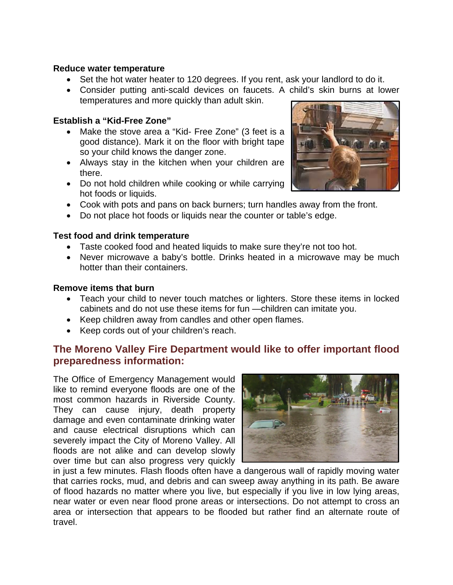#### **Reduce water temperature**

- Set the hot water heater to 120 degrees. If you rent, ask your landlord to do it.
- Consider putting anti-scald devices on faucets. A child's skin burns at lower temperatures and more quickly than adult skin.

### **Establish a "Kid-Free Zone"**

- Make the stove area a "Kid- Free Zone" (3 feet is a good distance). Mark it on the floor with bright tape so your child knows the danger zone.
- Always stay in the kitchen when your children are there.
- Do not hold children while cooking or while carrying hot foods or liquids.
- Cook with pots and pans on back burners; turn handles away from the front.
- Do not place hot foods or liquids near the counter or table's edge.

#### **Test food and drink temperature**

- Taste cooked food and heated liquids to make sure they're not too hot.
- Never microwave a baby's bottle. Drinks heated in a microwave may be much hotter than their containers.

#### **Remove items that burn**

- Teach your child to never touch matches or lighters. Store these items in locked cabinets and do not use these items for fun —children can imitate you.
- Keep children away from candles and other open flames.
- Keep cords out of your children's reach.

# **The Moreno Valley Fire Department would like to offer important flood preparedness information:**

The Office of Emergency Management would like to remind everyone floods are one of the most common hazards in Riverside County. They can cause injury, death property damage and even contaminate drinking water and cause electrical disruptions which can severely impact the City of Moreno Valley. All floods are not alike and can develop slowly over time but can also progress very quickly



in just a few minutes. Flash floods often have a dangerous wall of rapidly moving water that carries rocks, mud, and debris and can sweep away anything in its path. Be aware of flood hazards no matter where you live, but especially if you live in low lying areas, near water or even near flood prone areas or intersections. Do not attempt to cross an area or intersection that appears to be flooded but rather find an alternate route of travel.

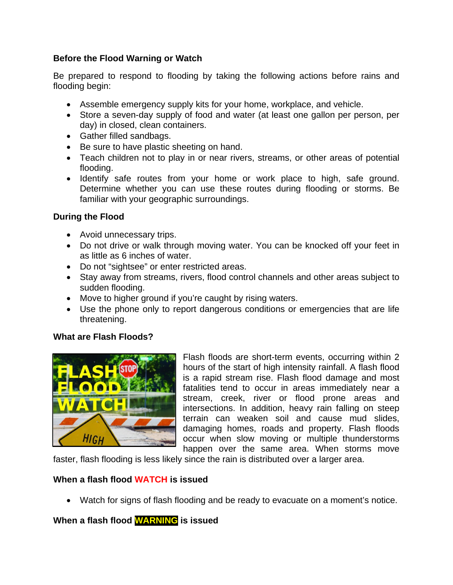### **Before the Flood Warning or Watch**

Be prepared to respond to flooding by taking the following actions before rains and flooding begin:

- Assemble emergency supply kits for your home, workplace, and vehicle.
- Store a seven-day supply of food and water (at least one gallon per person, per day) in closed, clean containers.
- Gather filled sandbags.
- Be sure to have plastic sheeting on hand.
- Teach children not to play in or near rivers, streams, or other areas of potential flooding.
- Identify safe routes from your home or work place to high, safe ground. Determine whether you can use these routes during flooding or storms. Be familiar with your geographic surroundings.

## **During the Flood**

- Avoid unnecessary trips.
- Do not drive or walk through moving water. You can be knocked off your feet in as little as 6 inches of water.
- Do not "sightsee" or enter restricted areas.
- Stay away from streams, rivers, flood control channels and other areas subject to sudden flooding.
- Move to higher ground if you're caught by rising waters.
- Use the phone only to report dangerous conditions or emergencies that are life threatening.

## **What are Flash Floods?**



Flash floods are short-term events, occurring within 2 hours of the start of high intensity rainfall. A flash flood is a rapid stream rise. Flash flood damage and most fatalities tend to occur in areas immediately near a stream, creek, river or flood prone areas and intersections. In addition, heavy rain falling on steep terrain can weaken soil and cause mud slides, damaging homes, roads and property. Flash floods occur when slow moving or multiple thunderstorms happen over the same area. When storms move

faster, flash flooding is less likely since the rain is distributed over a larger area.

### **When a flash flood WATCH is issued**

• Watch for signs of flash flooding and be ready to evacuate on a moment's notice.

## **When a flash flood WARNING is issued**